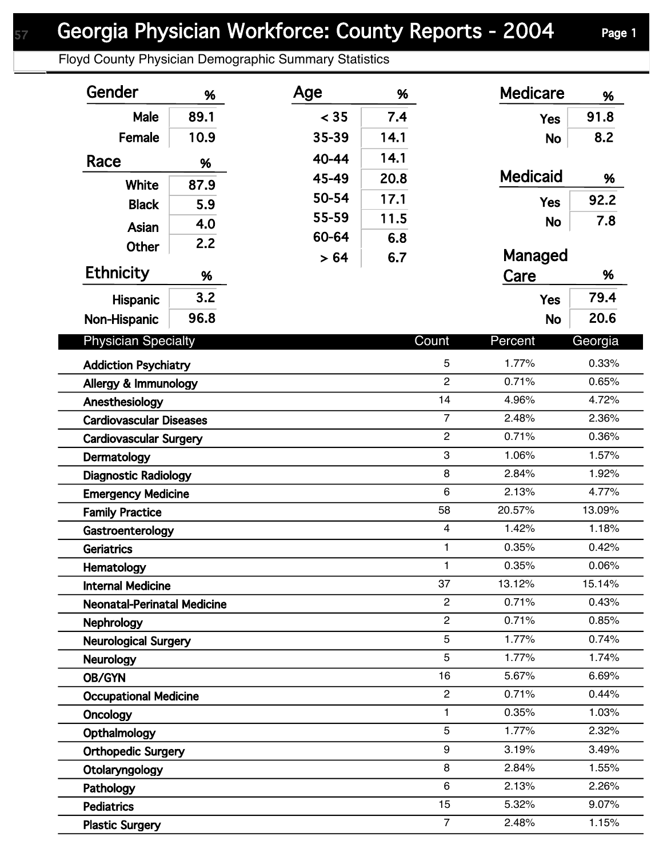## Georgia Physician Workforce: County Reports - 2004 Page 1

Floyd County Physician Demographic Summary Statistics

| Gender                             | %    | Age   | %    |                         | <b>Medicare</b> | %       |  |
|------------------------------------|------|-------|------|-------------------------|-----------------|---------|--|
| Male                               | 89.1 | < 35  | 7.4  |                         | <b>Yes</b>      | 91.8    |  |
| Female                             | 10.9 | 35-39 | 14.1 |                         | <b>No</b>       | 8.2     |  |
| Race                               | %    | 40-44 | 14.1 |                         |                 |         |  |
|                                    |      | 45-49 | 20.8 |                         | <b>Medicaid</b> | %       |  |
| White<br><b>Black</b>              | 87.9 | 50-54 | 17.1 |                         | <b>Yes</b>      | 92.2    |  |
|                                    | 5.9  | 55-59 | 11.5 |                         | <b>No</b>       | 7.8     |  |
| Asian                              | 4.0  | 60-64 | 6.8  |                         |                 |         |  |
| <b>Other</b>                       | 2.2  | > 64  | 6.7  |                         | Managed         |         |  |
| <b>Ethnicity</b>                   | %    |       |      |                         | Care            | %       |  |
| <b>Hispanic</b>                    | 3.2  |       |      |                         | <b>Yes</b>      | 79.4    |  |
| Non-Hispanic                       | 96.8 |       |      |                         | <b>No</b>       | 20.6    |  |
|                                    |      |       |      |                         |                 |         |  |
| <b>Physician Specialty</b>         |      |       |      | Count                   | Percent         | Georgia |  |
| <b>Addiction Psychiatry</b>        |      |       |      | 5                       | 1.77%           | 0.33%   |  |
| Allergy & Immunology               |      |       |      | $\overline{2}$          | 0.71%           | 0.65%   |  |
| Anesthesiology                     |      |       |      | 14                      | 4.96%           | 4.72%   |  |
| <b>Cardiovascular Diseases</b>     |      |       |      | $\overline{7}$          | 2.48%           | 2.36%   |  |
| <b>Cardiovascular Surgery</b>      |      |       |      | $\overline{c}$          | 0.71%           | 0.36%   |  |
| Dermatology                        |      |       |      | 3                       | 1.06%           | 1.57%   |  |
| <b>Diagnostic Radiology</b>        |      |       |      | 8                       | 2.84%           | 1.92%   |  |
| <b>Emergency Medicine</b>          |      |       |      | 6                       | 2.13%           | 4.77%   |  |
| <b>Family Practice</b>             |      |       |      | 58                      | 20.57%          | 13.09%  |  |
| Gastroenterology                   |      |       |      | $\overline{\mathbf{4}}$ | 1.42%           | 1.18%   |  |
| <b>Geriatrics</b>                  |      |       |      | $\mathbf{1}$            | 0.35%           | 0.42%   |  |
| Hematology                         |      |       |      | 1                       | 0.35%           | 0.06%   |  |
| <b>Internal Medicine</b>           |      |       |      | 37                      | 13.12%          | 15.14%  |  |
| <b>Neonatal-Perinatal Medicine</b> |      |       |      | $\overline{2}$          | 0.71%           | 0.43%   |  |
| <b>Nephrology</b>                  |      |       |      | $\overline{2}$          | 0.71%           | 0.85%   |  |
| <b>Neurological Surgery</b>        |      |       |      | 5                       | 1.77%           | 0.74%   |  |
| <b>Neurology</b>                   |      |       |      | 5                       | 1.77%           | 1.74%   |  |
| OB/GYN                             |      |       |      | 16                      | 5.67%           | 6.69%   |  |
| <b>Occupational Medicine</b>       |      |       |      | $\overline{c}$          | 0.71%           | 0.44%   |  |
| Oncology                           |      |       |      | $\mathbf{1}$            | 0.35%           | 1.03%   |  |
| Opthalmology                       |      |       |      | 5                       | 1.77%           | 2.32%   |  |
| <b>Orthopedic Surgery</b>          |      |       |      | 9                       | 3.19%           | 3.49%   |  |
| Otolaryngology                     |      |       |      | 8                       | 2.84%           | 1.55%   |  |
| Pathology                          |      |       |      | 6                       | 2.13%           | 2.26%   |  |
| <b>Pediatrics</b>                  |      |       |      | 15                      | 5.32%           | 9.07%   |  |
| <b>Plastic Surgery</b>             |      |       |      | $\overline{7}$          | 2.48%           | 1.15%   |  |